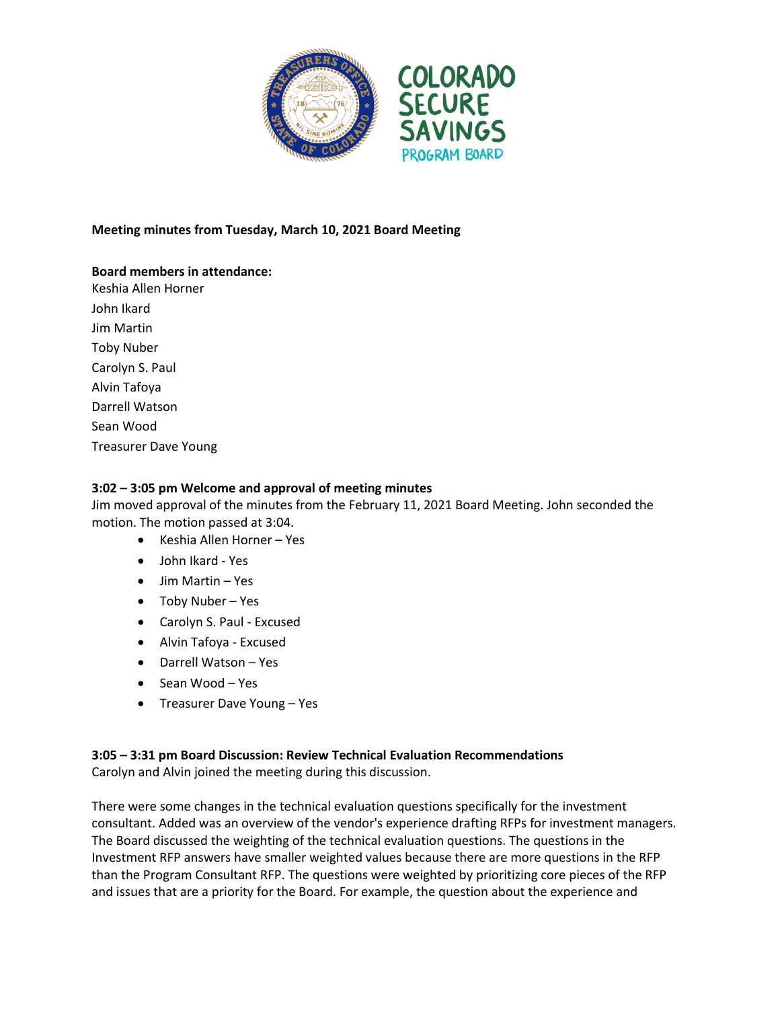

## **Meeting minutes from Tuesday, March 10, 2021 Board Meeting**

### **Board members in attendance:**

Keshia Allen Horner John Ikard Jim Martin Toby Nuber Carolyn S. Paul Alvin Tafoya Darrell Watson Sean Wood Treasurer Dave Young

### **3:02 – 3:05 pm Welcome and approval of meeting minutes**

Jim moved approval of the minutes from the February 11, 2021 Board Meeting. John seconded the motion. The motion passed at 3:04.

- Keshia Allen Horner Yes
- John Ikard Yes
- Jim Martin Yes
- Toby Nuber Yes
- Carolyn S. Paul Excused
- Alvin Tafoya Excused
- Darrell Watson Yes
- Sean Wood Yes
- Treasurer Dave Young Yes

#### **3:05 – 3:31 pm Board Discussion: Review Technical Evaluation Recommendations** Carolyn and Alvin joined the meeting during this discussion.

There were some changes in the technical evaluation questions specifically for the investment consultant. Added was an overview of the vendor's experience drafting RFPs for investment managers. The Board discussed the weighting of the technical evaluation questions. The questions in the

Investment RFP answers have smaller weighted values because there are more questions in the RFP than the Program Consultant RFP. The questions were weighted by prioritizing core pieces of the RFP and issues that are a priority for the Board. For example, the question about the experience and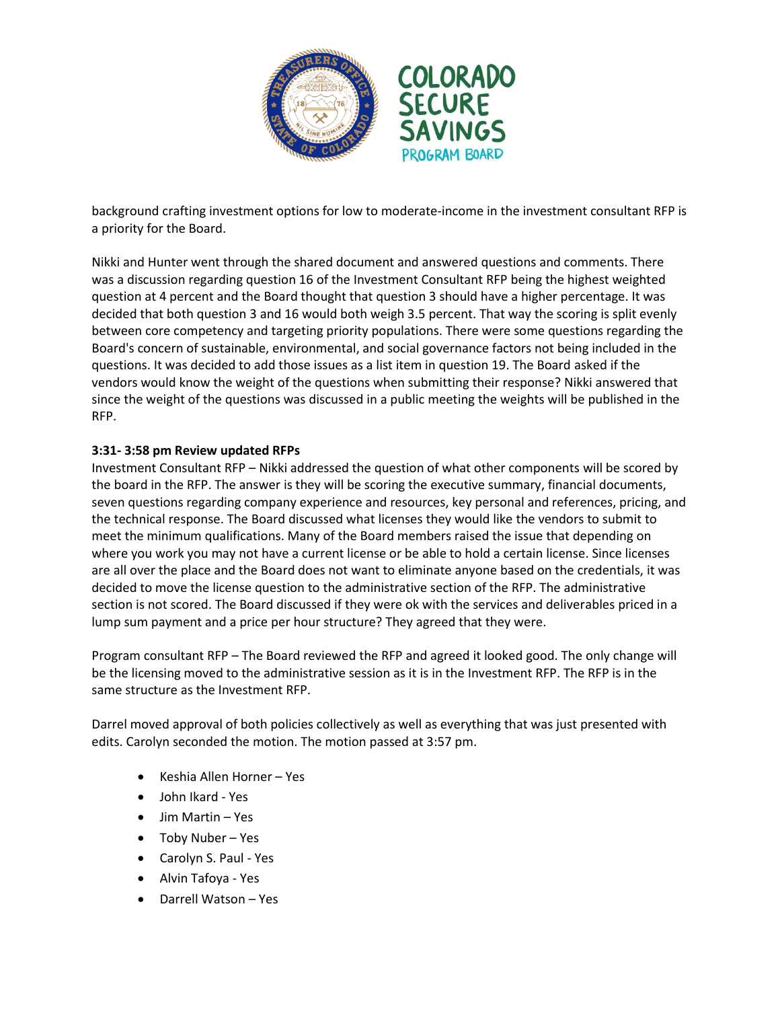

background crafting investment options for low to moderate-income in the investment consultant RFP is a priority for the Board.

Nikki and Hunter went through the shared document and answered questions and comments. There was a discussion regarding question 16 of the Investment Consultant RFP being the highest weighted question at 4 percent and the Board thought that question 3 should have a higher percentage. It was decided that both question 3 and 16 would both weigh 3.5 percent. That way the scoring is split evenly between core competency and targeting priority populations. There were some questions regarding the Board's concern of sustainable, environmental, and social governance factors not being included in the questions. It was decided to add those issues as a list item in question 19. The Board asked if the vendors would know the weight of the questions when submitting their response? Nikki answered that since the weight of the questions was discussed in a public meeting the weights will be published in the RFP.

## **3:31- 3:58 pm Review updated RFPs**

Investment Consultant RFP – Nikki addressed the question of what other components will be scored by the board in the RFP. The answer is they will be scoring the executive summary, financial documents, seven questions regarding company experience and resources, key personal and references, pricing, and the technical response. The Board discussed what licenses they would like the vendors to submit to meet the minimum qualifications. Many of the Board members raised the issue that depending on where you work you may not have a current license or be able to hold a certain license. Since licenses are all over the place and the Board does not want to eliminate anyone based on the credentials, it was decided to move the license question to the administrative section of the RFP. The administrative section is not scored. The Board discussed if they were ok with the services and deliverables priced in a lump sum payment and a price per hour structure? They agreed that they were.

Program consultant RFP – The Board reviewed the RFP and agreed it looked good. The only change will be the licensing moved to the administrative session as it is in the Investment RFP. The RFP is in the same structure as the Investment RFP.

Darrel moved approval of both policies collectively as well as everything that was just presented with edits. Carolyn seconded the motion. The motion passed at 3:57 pm.

- Keshia Allen Horner Yes
- John Ikard Yes
- Jim Martin Yes
- Toby Nuber Yes
- Carolyn S. Paul Yes
- Alvin Tafoya Yes
- Darrell Watson Yes